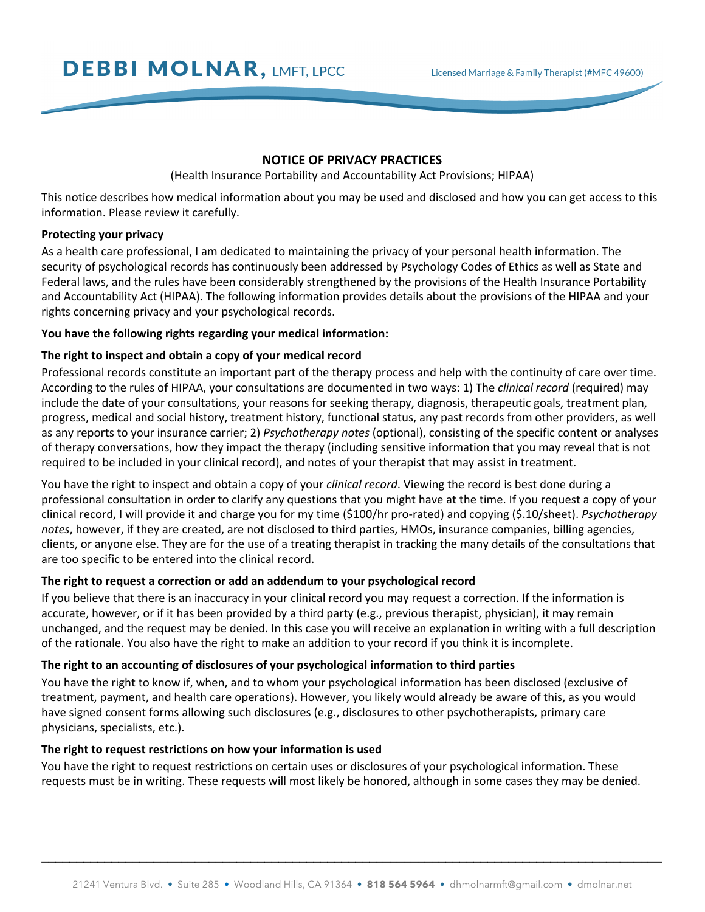# **DEBBI MOLNAR, LMFT, LPCC**

# **NOTICE OF PRIVACY PRACTICES**

(Health Insurance Portability and Accountability Act Provisions; HIPAA)

This notice describes how medical information about you may be used and disclosed and how you can get access to this information. Please review it carefully.

# **Protecting your privacy**

As a health care professional, I am dedicated to maintaining the privacy of your personal health information. The security of psychological records has continuously been addressed by Psychology Codes of Ethics as well as State and Federal laws, and the rules have been considerably strengthened by the provisions of the Health Insurance Portability and Accountability Act (HIPAA). The following information provides details about the provisions of the HIPAA and your rights concerning privacy and your psychological records.

# **You have the following rights regarding your medical information:**

# **The right to inspect and obtain a copy of your medical record**

Professional records constitute an important part of the therapy process and help with the continuity of care over time. According to the rules of HIPAA, your consultations are documented in two ways: 1) The *clinical record* (required) may include the date of your consultations, your reasons for seeking therapy, diagnosis, therapeutic goals, treatment plan, progress, medical and social history, treatment history, functional status, any past records from other providers, as well as any reports to your insurance carrier; 2) *Psychotherapy notes* (optional), consisting of the specific content or analyses of therapy conversations, how they impact the therapy (including sensitive information that you may reveal that is not required to be included in your clinical record), and notes of your therapist that may assist in treatment.

You have the right to inspect and obtain a copy of your *clinical record*. Viewing the record is best done during a professional consultation in order to clarify any questions that you might have at the time. If you request a copy of your clinical record, I will provide it and charge you for my time (\$100/hr pro-rated) and copying (\$.10/sheet). *Psychotherapy notes*, however, if they are created, are not disclosed to third parties, HMOs, insurance companies, billing agencies, clients, or anyone else. They are for the use of a treating therapist in tracking the many details of the consultations that are too specific to be entered into the clinical record.

#### **The right to request a correction or add an addendum to your psychological record**

If you believe that there is an inaccuracy in your clinical record you may request a correction. If the information is accurate, however, or if it has been provided by a third party (e.g., previous therapist, physician), it may remain unchanged, and the request may be denied. In this case you will receive an explanation in writing with a full description of the rationale. You also have the right to make an addition to your record if you think it is incomplete.

## **The right to an accounting of disclosures of your psychological information to third parties**

You have the right to know if, when, and to whom your psychological information has been disclosed (exclusive of treatment, payment, and health care operations). However, you likely would already be aware of this, as you would have signed consent forms allowing such disclosures (e.g., disclosures to other psychotherapists, primary care physicians, specialists, etc.).

### **The right to request restrictions on how your information is used**

You have the right to request restrictions on certain uses or disclosures of your psychological information. These requests must be in writing. These requests will most likely be honored, although in some cases they may be denied.

 **\_\_\_\_\_\_\_\_\_\_\_\_\_\_\_\_\_\_\_\_\_\_\_\_\_\_\_\_\_\_\_\_\_\_\_\_\_\_\_\_\_\_\_\_\_\_\_\_\_\_\_\_\_\_\_\_\_\_\_\_\_\_\_\_\_\_\_\_\_\_\_\_\_\_\_\_\_\_\_\_\_\_\_\_\_\_\_\_\_**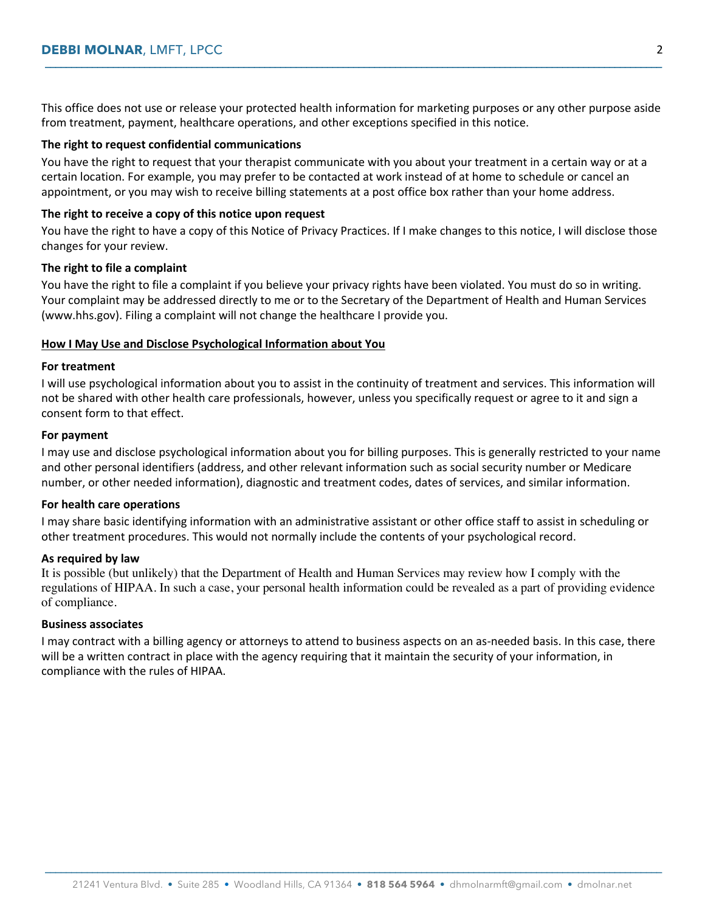This office does not use or release your protected health information for marketing purposes or any other purpose aside from treatment, payment, healthcare operations, and other exceptions specified in this notice.

 **\_\_\_\_\_\_\_\_\_\_\_\_\_\_\_\_\_\_\_\_\_\_\_\_\_\_\_\_\_\_\_\_\_\_\_\_\_\_\_\_\_\_\_\_\_\_\_\_\_\_\_\_\_\_\_\_\_\_\_\_\_\_\_\_\_\_\_\_\_\_\_\_\_\_\_\_\_\_\_\_\_\_\_\_\_\_\_\_\_\_\_\_\_\_\_\_\_\_\_\_\_\_\_\_\_\_\_\_\_\_\_\_\_\_\_\_\_\_** 

#### **The right to request confidential communications**

You have the right to request that your therapist communicate with you about your treatment in a certain way or at a certain location. For example, you may prefer to be contacted at work instead of at home to schedule or cancel an appointment, or you may wish to receive billing statements at a post office box rather than your home address.

## **The right to receive a copy of this notice upon request**

You have the right to have a copy of this Notice of Privacy Practices. If I make changes to this notice, I will disclose those changes for your review.

#### **The right to file a complaint**

You have the right to file a complaint if you believe your privacy rights have been violated. You must do so in writing. Your complaint may be addressed directly to me or to the Secretary of the Department of Health and Human Services (www.hhs.gov). Filing a complaint will not change the healthcare I provide you.

#### **How I May Use and Disclose Psychological Information about You**

#### **For treatment**

I will use psychological information about you to assist in the continuity of treatment and services. This information will not be shared with other health care professionals, however, unless you specifically request or agree to it and sign a consent form to that effect.

#### **For payment**

I may use and disclose psychological information about you for billing purposes. This is generally restricted to your name and other personal identifiers (address, and other relevant information such as social security number or Medicare number, or other needed information), diagnostic and treatment codes, dates of services, and similar information.

#### **For health care operations**

I may share basic identifying information with an administrative assistant or other office staff to assist in scheduling or other treatment procedures. This would not normally include the contents of your psychological record.

#### **As required by law**

It is possible (but unlikely) that the Department of Health and Human Services may review how I comply with the regulations of HIPAA. In such a case, your personal health information could be revealed as a part of providing evidence of compliance.

## **Business associates**

I may contract with a billing agency or attorneys to attend to business aspects on an as-needed basis. In this case, there will be a written contract in place with the agency requiring that it maintain the security of your information, in compliance with the rules of HIPAA.